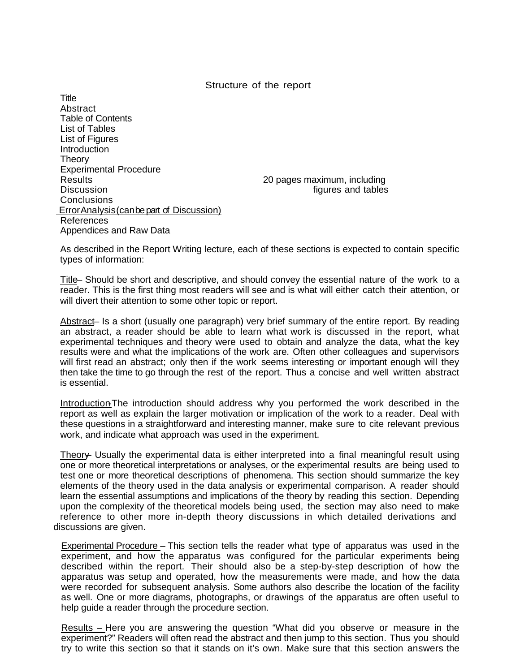#### Structure of the report

**Title Abstract** Table of Contents List of Tables List of Figures **Introduction Theory** Experimental Procedure Results 20 pages maximum, including<br>Discussion tinures and tables Conclusions ErrorAnalysis(canbepart of Discussion) References Appendices and Raw Data

figures and tables

As described in the Report Writing lecture, each of these sections is expected to contain specific types of information:

Title – Should be short and descriptive, and should convey the essential nature of the work to a reader. This is the first thing most readers will see and is what will either catch their attention, or will divert their attention to some other topic or report.

Abstract– Is a short (usually one paragraph) very brief summary of the entire report. By reading an abstract, a reader should be able to learn what work is discussed in the report, what experimental techniques and theory were used to obtain and analyze the data, what the key results were and what the implications of the work are. Often other colleagues and supervisors will first read an abstract; only then if the work seems interesting or important enough will they then take the time to go through the rest of the report. Thus a concise and well written abstract is essential.

Introduction-The introduction should address why you performed the work described in the report as well as explain the larger motivation or implication of the work to a reader. Deal with these questions in a straightforward and interesting manner, make sure to cite relevant previous work, and indicate what approach was used in the experiment.

Theory– Usually the experimental data is either interpreted into a final meaningful result using one or more theoretical interpretations or analyses, or the experimental results are being used to test one or more theoretical descriptions of phenomena. This section should summarize the key elements of the theory used in the data analysis or experimental comparison. A reader should learn the essential assumptions and implications of the theory by reading this section. Depending upon the complexity of the theoretical models being used, the section may also need to make reference to other more in-depth theory discussions in which detailed derivations and discussions are given.

Experimental Procedure – This section tells the reader what type of apparatus was used in the experiment, and how the apparatus was configured for the particular experiments being described within the report. Their should also be a step-by-step description of how the apparatus was setup and operated, how the measurements were made, and how the data were recorded for subsequent analysis. Some authors also describe the location of the facility as well. One or more diagrams, photographs, or drawings of the apparatus are often useful to help guide a reader through the procedure section.

Results – Here you are answering the question "What did you observe or measure in the experiment?" Readers will often read the abstract and then jump to this section. Thus you should try to write this section so that it stands on it's own. Make sure that this section answers the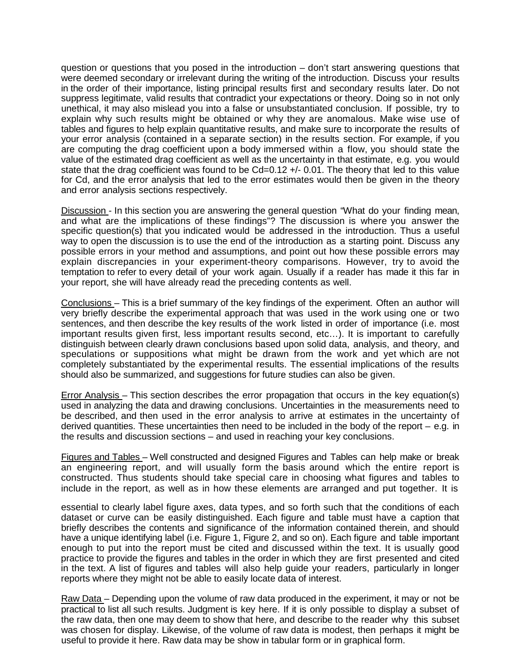question or questions that you posed in the introduction – don't start answering questions that were deemed secondary or irrelevant during the writing of the introduction. Discuss your results in the order of their importance, listing principal results first and secondary results later. Do not suppress legitimate, valid results that contradict your expectations or theory. Doing so in not only unethical, it may also mislead you into a false or unsubstantiated conclusion. If possible, try to explain why such results might be obtained or why they are anomalous. Make wise use of tables and figures to help explain quantitative results, and make sure to incorporate the results of your error analysis (contained in a separate section) in the results section. For example, if you are computing the drag coefficient upon a body immersed within a flow, you should state the value of the estimated drag coefficient as well as the uncertainty in that estimate, e.g. you would state that the drag coefficient was found to be Cd=0.12 +/- 0.01. The theory that led to this value for Cd, and the error analysis that led to the error estimates would then be given in the theory and error analysis sections respectively.

Discussion - In this section you are answering the general question "What do your finding mean, and what are the implications of these findings"? The discussion is where you answer the specific question(s) that you indicated would be addressed in the introduction. Thus a useful way to open the discussion is to use the end of the introduction as a starting point. Discuss any possible errors in your method and assumptions, and point out how these possible errors may explain discrepancies in your experiment-theory comparisons. However, try to avoid the temptation to refer to every detail of your work again. Usually if a reader has made it this far in your report, she will have already read the preceding contents as well.

Conclusions – This is a brief summary of the key findings of the experiment. Often an author will very briefly describe the experimental approach that was used in the work using one or two sentences, and then describe the key results of the work listed in order of importance (i.e. most important results given first, less important results second, etc…). It is important to carefully distinguish between clearly drawn conclusions based upon solid data, analysis, and theory, and speculations or suppositions what might be drawn from the work and yet which are not completely substantiated by the experimental results. The essential implications of the results should also be summarized, and suggestions for future studies can also be given.

Error Analysis – This section describes the error propagation that occurs in the key equation(s) used in analyzing the data and drawing conclusions. Uncertainties in the measurements need to be described, and then used in the error analysis to arrive at estimates in the uncertainty of derived quantities. These uncertainties then need to be included in the body of the report  $-$  e.g. in the results and discussion sections – and used in reaching your key conclusions.

Figures and Tables – Well constructed and designed Figures and Tables can help make or break an engineering report, and will usually form the basis around which the entire report is constructed. Thus students should take special care in choosing what figures and tables to include in the report, as well as in how these elements are arranged and put together. It is

essential to clearly label figure axes, data types, and so forth such that the conditions of each dataset or curve can be easily distinguished. Each figure and table must have a caption that briefly describes the contents and significance of the information contained therein, and should have a unique identifying label (i.e. Figure 1, Figure 2, and so on). Each figure and table important enough to put into the report must be cited and discussed within the text. It is usually good practice to provide the figures and tables in the order in which they are first presented and cited in the text. A list of figures and tables will also help guide your readers, particularly in longer reports where they might not be able to easily locate data of interest.

Raw Data – Depending upon the volume of raw data produced in the experiment, it may or not be practical to list all such results. Judgment is key here. If it is only possible to display a subset of the raw data, then one may deem to show that here, and describe to the reader why this subset was chosen for display. Likewise, of the volume of raw data is modest, then perhaps it might be useful to provide it here. Raw data may be show in tabular form or in graphical form.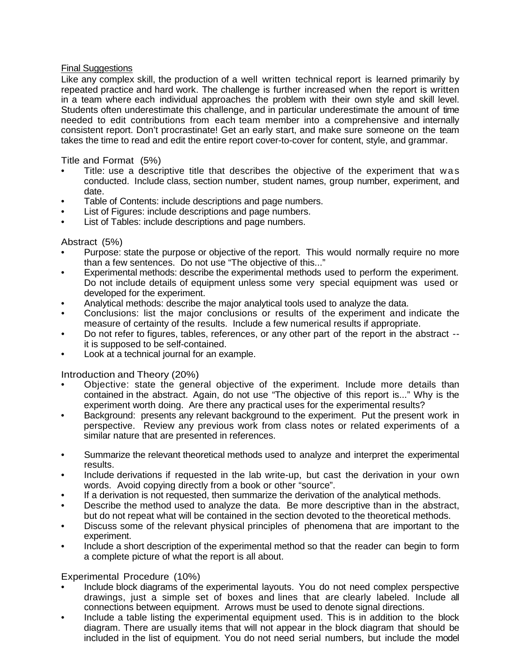## Final Suggestions

Like any complex skill, the production of a well written technical report is learned primarily by repeated practice and hard work. The challenge is further increased when the report is written in a team where each individual approaches the problem with their own style and skill level. Students often underestimate this challenge, and in particular underestimate the amount of time needed to edit contributions from each team member into a comprehensive and internally consistent report. Don't procrastinate! Get an early start, and make sure someone on the team takes the time to read and edit the entire report cover-to-cover for content, style, and grammar.

Title and Format (5%)

- Title: use a descriptive title that describes the objective of the experiment that was conducted. Include class, section number, student names, group number, experiment, and date.
- Table of Contents: include descriptions and page numbers.
- List of Figures: include descriptions and page numbers.
- List of Tables: include descriptions and page numbers.

### Abstract (5%)

- Purpose: state the purpose or objective of the report. This would normally require no more than a few sentences. Do not use "The objective of this..."
- Experimental methods: describe the experimental methods used to perform the experiment. Do not include details of equipment unless some very special equipment was used or developed for the experiment.
- Analytical methods: describe the major analytical tools used to analyze the data.
- Conclusions: list the major conclusions or results of the experiment and indicate the measure of certainty of the results. Include a few numerical results if appropriate.
- Do not refer to figures, tables, references, or any other part of the report in the abstract it is supposed to be self-contained.
- Look at a technical journal for an example.

### Introduction and Theory (20%)

- Objective: state the general objective of the experiment. Include more details than contained in the abstract. Again, do not use "The objective of this report is..." Why is the experiment worth doing. Are there any practical uses for the experimental results?
- Background: presents any relevant background to the experiment. Put the present work in perspective. Review any previous work from class notes or related experiments of a similar nature that are presented in references.
- Summarize the relevant theoretical methods used to analyze and interpret the experimental results.
- Include derivations if requested in the lab write-up, but cast the derivation in your own words. Avoid copying directly from a book or other "source".
- If a derivation is not requested, then summarize the derivation of the analytical methods.
- Describe the method used to analyze the data. Be more descriptive than in the abstract, but do not repeat what will be contained in the section devoted to the theoretical methods.
- Discuss some of the relevant physical principles of phenomena that are important to the experiment.
- Include a short description of the experimental method so that the reader can begin to form a complete picture of what the report is all about.

### Experimental Procedure (10%)

- Include block diagrams of the experimental layouts. You do not need complex perspective drawings, just a simple set of boxes and lines that are clearly labeled. Include all connections between equipment. Arrows must be used to denote signal directions.
- Include a table listing the experimental equipment used. This is in addition to the block diagram. There are usually items that will not appear in the block diagram that should be included in the list of equipment. You do not need serial numbers, but include the model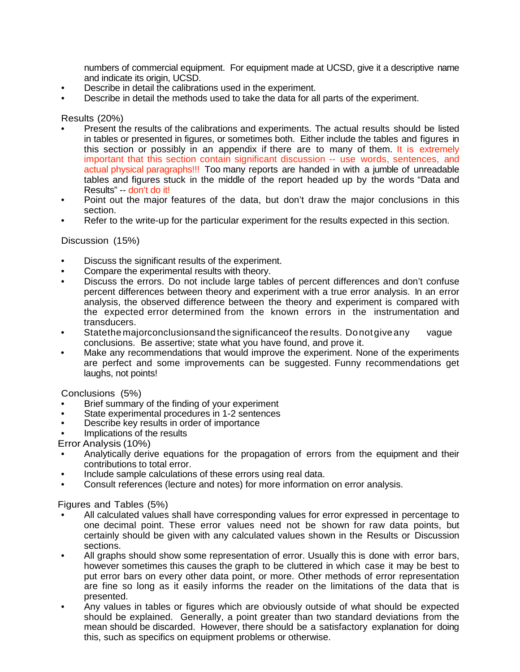numbers of commercial equipment. For equipment made at UCSD, give it a descriptive name and indicate its origin, UCSD.

- Describe in detail the calibrations used in the experiment.
- Describe in detail the methods used to take the data for all parts of the experiment.

Results (20%)

- Present the results of the calibrations and experiments. The actual results should be listed in tables or presented in figures, or sometimes both. Either include the tables and figures in this section or possibly in an appendix if there are to many of them. It is extremely important that this section contain significant discussion -- use words, sentences, and actual physical paragraphs!!! Too many reports are handed in with a jumble of unreadable tables and figures stuck in the middle of the report headed up by the words "Data and Results" -- don't do it!
- Point out the major features of the data, but don't draw the major conclusions in this section.
- Refer to the write-up for the particular experiment for the results expected in this section.

# Discussion (15%)

- Discuss the significant results of the experiment.
- Compare the experimental results with theory.
- Discuss the errors. Do not include large tables of percent differences and don't confuse percent differences between theory and experiment with a true error analysis. In an error analysis, the observed difference between the theory and experiment is compared with the expected error determined from the known errors in the instrumentation and transducers.
- Statethe majorconclusionsand thesignificanceof the results. Donotgiveany vague conclusions. Be assertive; state what you have found, and prove it.
- Make any recommendations that would improve the experiment. None of the experiments are perfect and some improvements can be suggested. Funny recommendations get laughs, not points!

Conclusions (5%)

- Brief summary of the finding of your experiment<br>State experimental procedures in 1-2 sentences
- 
- Describe key results in order of importance
- Implications of the results

Error Analysis (10%)

- Analytically derive equations for the propagation of errors from the equipment and their contributions to total error.
- Include sample calculations of these errors using real data.
- Consult references (lecture and notes) for more information on error analysis.

Figures and Tables (5%)

- All calculated values shall have corresponding values for error expressed in percentage to one decimal point. These error values need not be shown for raw data points, but certainly should be given with any calculated values shown in the Results or Discussion sections.
- All graphs should show some representation of error. Usually this is done with error bars, however sometimes this causes the graph to be cluttered in which case it may be best to put error bars on every other data point, or more. Other methods of error representation are fine so long as it easily informs the reader on the limitations of the data that is presented.
- Any values in tables or figures which are obviously outside of what should be expected should be explained. Generally, a point greater than two standard deviations from the mean should be discarded. However, there should be a satisfactory explanation for doing this, such as specifics on equipment problems or otherwise.